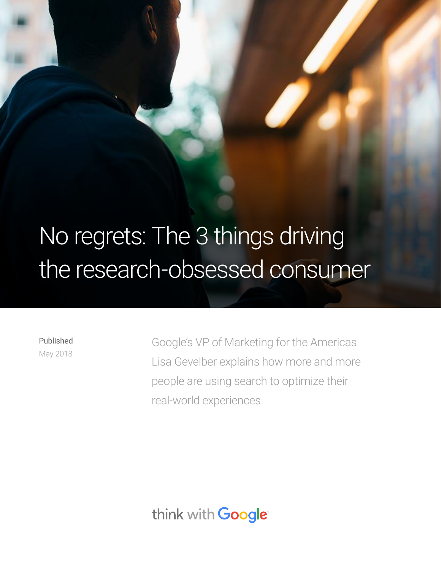# No regrets: The 3 things driving the research-obsessed consumer

Published May 2018 Google's VP of Marketing for the Americas Lisa Gevelber explains how more and more people are using search to optimize their real-world experiences.

think with Google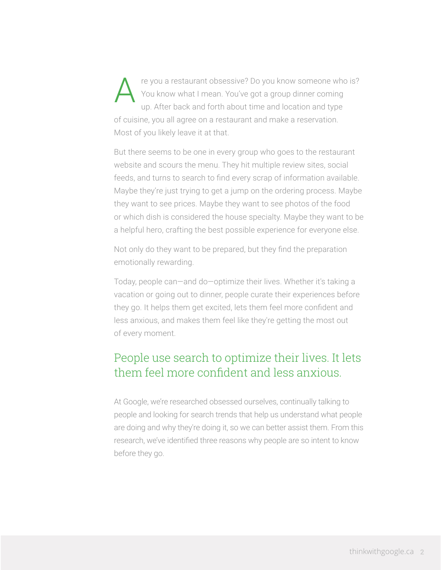re you a restaurant obsessive? Do you know someone who is? You know what I mean. You've got a group dinner coming up. After back and forth about time and location and type of cuisine, you all agree on a restaurant and make a reservation. Most of you likely leave it at that. A

But there seems to be one in every group who goes to the restaurant website and scours the menu. They hit multiple review sites, social feeds, and turns to search to find every scrap of information available. Maybe they're just trying to get a jump on the ordering process. Maybe they want to see prices. Maybe they want to see photos of the food or which dish is considered the house specialty. Maybe they want to be a helpful hero, crafting the best possible experience for everyone else.

Not only do they want to be prepared, but they find the preparation emotionally rewarding.

Today, people can—and do—optimize their lives. Whether it's taking a vacation or going out to dinner, people curate their experiences before they go. It helps them get excited, lets them feel more confident and less anxious, and makes them feel like they're getting the most out of every moment.

### People use search to optimize their lives. It lets them feel more confident and less anxious.

At Google, we're researched obsessed ourselves, continually talking to people and looking for search trends that help us understand what people are doing and why they're doing it, so we can better assist them. From this research, we've identified three reasons why people are so intent to know before they go.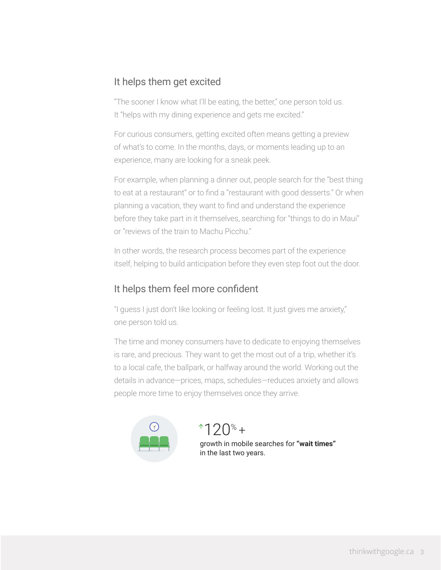### It helps them get excited

"The sooner I know what I'll be eating, the better," one person told us. It "helps with my dining experience and gets me excited."

For curious consumers, getting excited often means getting a preview of what's to come. In the months, days, or moments leading up to an experience, many are looking for a sneak peek.

For example, when planning a dinner out, people search for the "best thing to eat at a restaurant" or to find a "restaurant with good desserts." Or when planning a vacation, they want to find and understand the experience before they take part in it themselves, searching for "things to do in Maui" or "reviews of the train to Machu Picchu."

In other words, the research process becomes part of the experience itself, helping to build anticipation before they even step foot out the door.

### It helps them feel more confident

"I guess I just don't like looking or feeling lost. It just gives me anxiety," one person told us.

The time and money consumers have to dedicate to enjoying themselves is rare, and precious. They want to get the most out of a trip, whether it's to a local cafe, the ballpark, or halfway around the world. Working out the details in advance—prices, maps, schedules—reduces anxiety and allows people more time to enjoy themselves once they arrive.



## $*120*$

growth in mobile searches for **"wait times"** in the last two years.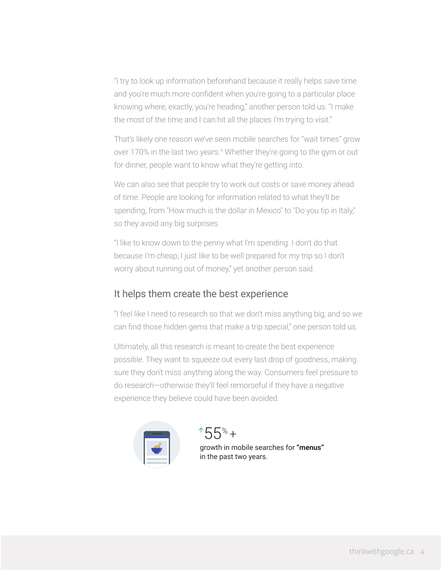"I try to look up information beforehand because it really helps save time and you're much more confident when you're going to a particular place knowing where, exactly, you're heading," another person told us. "I make the most of the time and I can hit all the places I'm trying to visit."

That's likely one reason we've seen mobile searches for "wait times" grow over 170% in the last two years.<sup>1</sup> Whether they're going to the gym or out for dinner, people want to know what they're getting into.

We can also see that people try to work out costs or save money ahead of time. People are looking for information related to what they'll be spending, from "How much is the dollar in Mexico" to "Do you tip in Italy," so they avoid any big surprises.

"I like to know down to the penny what I'm spending. I don't do that because I'm cheap, I just like to be well prepared for my trip so I don't worry about running out of money," yet another person said.

### It helps them create the best experience

"I feel like I need to research so that we don't miss anything big, and so we can find those hidden gems that make a trip special," one person told us.

Ultimately, all this research is meant to create the best experience possible. They want to squeeze out every last drop of goodness, making sure they don't miss anything along the way. Consumers feel pressure to do research—otherwise they'll feel remorseful if they have a negative experience they believe could have been avoided.



 $*55* +$ growth in mobile searches for **"menus"** in the past two years.